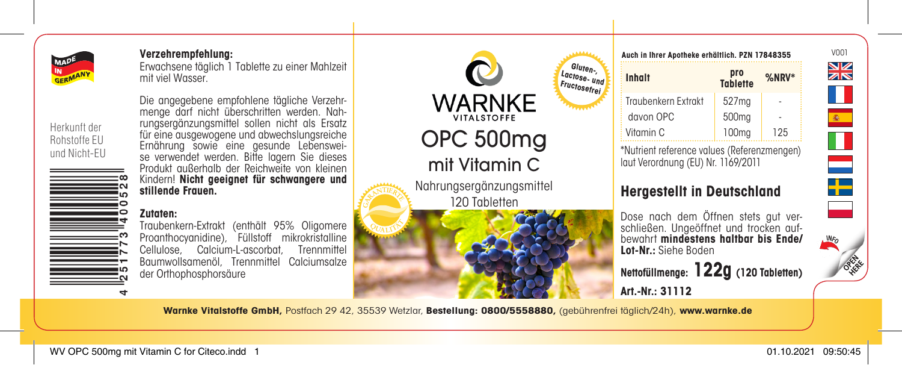

# Herkunft der Rohstoffe EU und Nicht-EU



#### Verzehrempfehlung:

Erwachsene täglich 1 Tablette zu einer Mahlzeit mit viel Wasser.

Die angegebene empfohlene tägliche Verzehr- menge darf nicht überschritten werden. Nah- rungsergänzungsmittel sollen nicht als Ersatz für eine ausgewogene und abwechslungsreiche<br>Ernährung sowie eine gesunde Lebenswei-Ernährung sowie eine gesunde Lebenswei- se verwendet werden. Bitte lagern Sie dieses Produkt außerhalb der Reichweite von kleinen Kindern! Nicht geeignet für schwangere und stillende Frauen.

#### Zutaten:

Traubenkern-Extrakt (enthält 95% Oligomere Proanthocyanidine), Füllstoff mikrokristalline Cellulose, Calcium-L-ascorbat, Trennmittel Baumwollsamenöl, Trennmittel Calciumsalze der Orthophosphorsäure





<u>NK</u>  $\mathbf{z}$ 

V001

# Hergestellt in Deutschland

Dose nach dem Öffnen stets gut ver-<br>schließen. Ungeöffnet und trocken auf-<br>bewahrt **mindestens haltbar bis Ende/** Lot-Nr.: Siehe Boden

Nettofüllmenge: 122g (120 Tabletten)

Art.-Nr.: 31112

Warnke Vitalstoffe GmbH, Postfach 29 42, 35539 Wetzlar, Bestellung: 0800/5558880, (gebührenfrei täglich/24h), www.warnke.de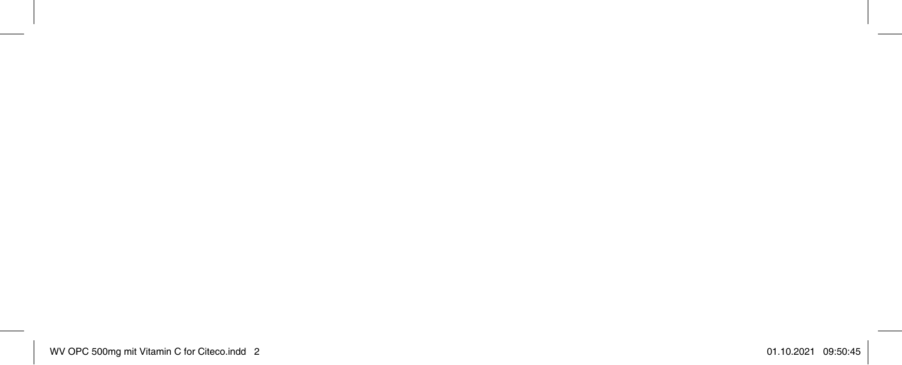WV OPC 500mg mit Vitamin C for Citeco.indd 2 01.10.2021 09:50:45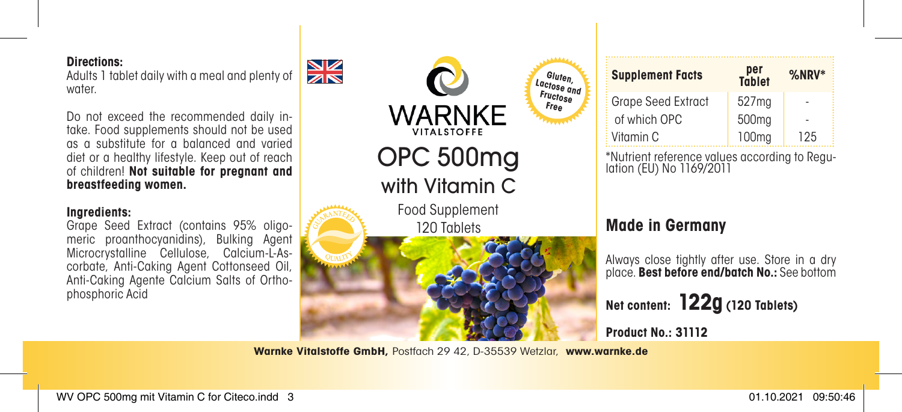# Directions:

Adults 1 tablet daily with a meal and plenty of water.

Do not exceed the recommended daily intake. Food supplements should not be used as a substitute for a balanced and varied diet or a healthy lifestyle. Keep out of reach of children! Not suitable for pregnant and breastfeeding women.

#### Ingredients:

Grape Seed Extract (contains 95% oligomeric proanthocyanidins), Bulking Agent<br>Microcrystalline Cellulose, Calcium-L-As-Microcrystalline Cellulose, corbate, Anti-Caking Agent Cottonseed Oil, Anti-Caking Agente Calcium Salts of Orthophosphoric Acid



| ŀΠ.<br>and | <b>Supplement Facts</b>   | per<br>Table |
|------------|---------------------------|--------------|
| δe         | <b>Grape Seed Extract</b> | 527m         |
|            | of which OPC              | 500m         |
|            | Vitamin C                 | 100m         |

\*Nutrient reference values according to Regu- lation (EU) No 1169/2011

per %NRV\*  $527ma$  - $500$ mg - $100$ mg 125

# Made in Germany

Always close tightly after use. Store in a dry place. Best before end/batch No.: See bottom

Net content: 122g (120 Tablets)

Product No.: 31112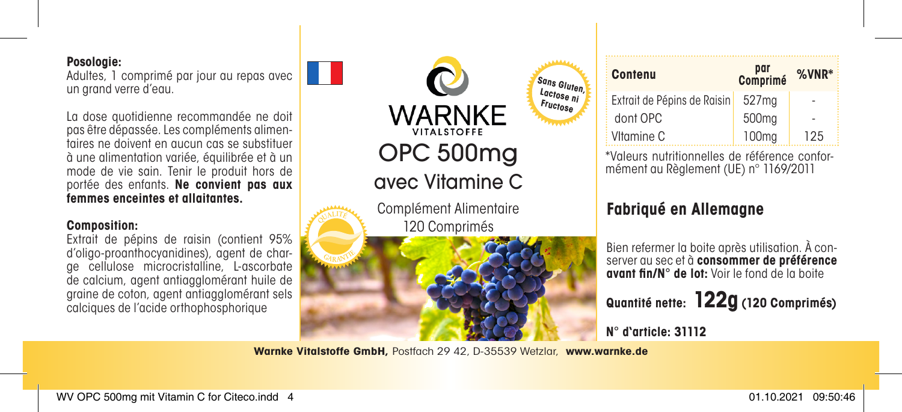### Posologie:

Adultes, 1 comprimé par jour au repas avec un grand verre d'eau.

La dose quotidienne recommandée ne doit pas être dépassée. Les compléments alimentaires ne doivent en aucun cas se substituer à une alimentation variée, équilibrée et à un mode de vie sain. Tenir le produit hors de portée des enfants. Ne convient pas aux femmes enceintes et allaitantes.

#### Composition:

Extrait de pépins de raisin (contient 95% d'oligo-proanthocyanidines), agent de charge cellulose microcristalline, L-ascorbate de calcium, agent antiagglomérant huile de graine de coton, agent antiagglomérant sels calciques de l'acide orthophosphorique



| <b>Contenu</b>              | par<br>Comprimé   | $%$ VNR* |
|-----------------------------|-------------------|----------|
| Extrait de Pépins de Raisin | 527mg             |          |
| dont OPC                    | 500 <sub>mg</sub> |          |
| VItamine C                  | 100 <sub>mg</sub> | 125      |

\*Valeurs nutritionnelles de référence conformément au Règlement (UE) n° 1169/2011

# Fabriqué en Allemagne

Bien refermer la boite après utilisation. À conserver au sec et à consommer de préférence avant fin/N° de lot: Voir le fond de la boite

Quantité nette: 122g (120 Comprimés)

N° d'article: 31112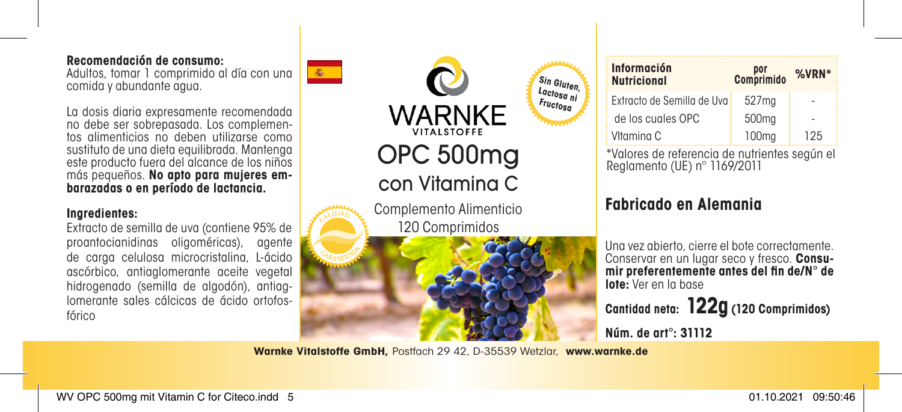Recomendación de consumo:

Adultos, tomar 1 comprimido al día con una comida y abundante agua.

La dosis diaria expresamente recomendada no debe ser sobrepasada. Los complementos alimenticios no deben utilizarse como sustituto de una dieta equilibrada. Mantenga este producto fuera del alcance de los niños<br>más pequeños. **No apto para mujeres em**barazadas o en período de lactancia.

## Ingredientes:

Extracto de semilla de uva (contiene 95% de proantocianidinas oligoméricas), agente de carga celulosa microcristalina, L-ácido ascórbico, antiaglomerante aceite vegetal hidrogenado (semilla de algodón), antiaglomerante sales cálcicas de ácido ortofosfórico



| Información<br><b>Nutricional</b> | por<br>Comprimido | $%$ VRN $*$ |
|-----------------------------------|-------------------|-------------|
| Extracto de Semilla de Uva        | 527mg             |             |
| de los cuales OPC                 | 500 <sub>mg</sub> |             |
| VItamina C                        | 100 <sub>mg</sub> | 125         |

\*Valores de referencia de nutrientes según el Reglamento (UE) n° 1169/2011

Una vez abierto, cierre el bote correctamente.<br>Conservar en un lugar seco y fresco. Consumir preferentemente antes del fin de/N° de lote: Ver en la base

Cantidad neta: 122g (120 Comprimidos)

Núm. de art°: 31112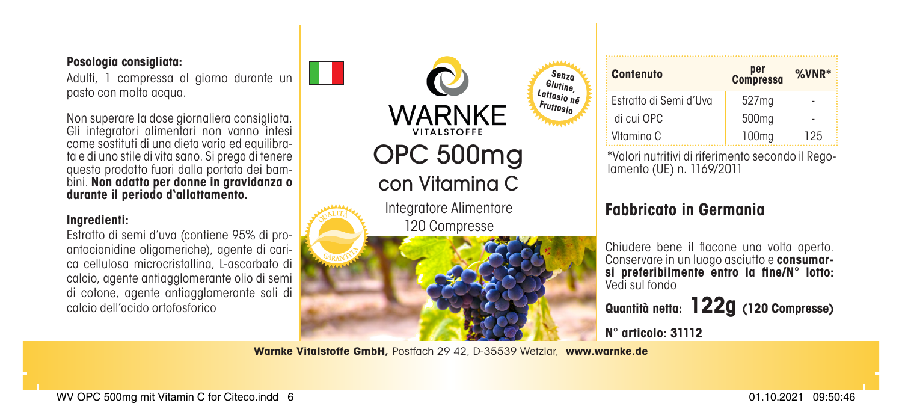### Posologia consigliata:

Adulti, 1 compressa al giorno durante un pasto con molta acqua.

Non superare la dose giornaliera consigliata. Gli integratori alimentari non vanno intesi<br>come sostituti di una dieta varia ed equilibracome sostituti di una dieta varia ed equilibra- ta e di uno stile di vita sano. Si prega di tenere questo prodotto fuori dalla portata dei bambini. Non adatto per donne in gravidanza o durante il periodo d'allattamento.

## Ingredienti:

Estratto di semi d'uva (contiene 95% di proantocianidine oligomeriche), agente di carica cellulosa microcristallina, L-ascorbato di calcio, agente antiagglomerante olio di semi di cotone, agente antiagglomerante sali di calcio dell'acido ortofosforico



| <b>Contenuto</b>         | per<br>Compressa  | $%$ VNR $*$ |
|--------------------------|-------------------|-------------|
| : Estratto di Semi d'Uva | 527mg             | ۰           |
| di cui OPC               | 500 <sub>mg</sub> |             |
| Vitamina C               | 100 <sub>mg</sub> | 125         |

\*Valori nutritivi di riferimento secondo il Regolamento (UE) n. 1169/2011

Chiudere bene il flacone una volta aperto. Conservare in un luogo asciutto e consumarsi preferibilmente entro la fine/N° lotto: Vedi sul fondo

Quantità netta: 122g (120 Compresse)

N° articolo: 31112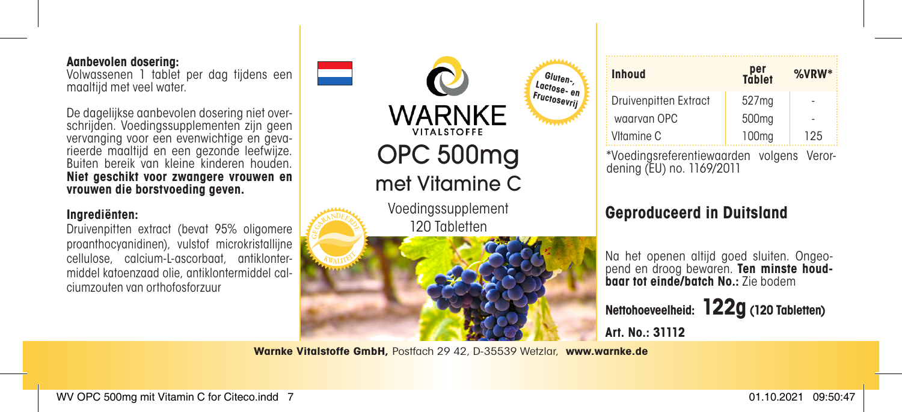# Aanbevolen dosering:

Volwassenen 1 tablet per dag tijdens een maaltijd met veel water.

De dagelijkse aanbevolen dosering niet overschrijden. Voedingssupplementen zijn geen vervanging voor een evenwichtige en gevarieerde maaltijd en een gezonde leefwijze. Buiten bereik van kleine kinderen houden. Niet geschikt voor zwangere vrouwen en vrouwen die borstvoeding geven.

# Ingrediënten:

Druivenpitten extract (bevat 95% oligomere proanthocyanidinen), vulstof microkristallijne cellulose, calcium-L-ascorbaat, antiklontermiddel katoenzaad olie, antiklontermiddel calciumzouten van orthofosforzuur



| <b>Inhoud</b>                | per<br>Tablet     | %VRW* |
|------------------------------|-------------------|-------|
| <b>Druivenpitten Extract</b> | 527mg             |       |
| waarvan OPC                  | 500 <sub>mg</sub> |       |
| Vltamine C                   | 100 <sub>mg</sub> | 125   |

\*Voedingsreferentiewaarden volgens Veror- dening (EU) no. 1169/2011

Na het openen altijd goed sluiten. Ongeo-<br>pend en droog bewaren. **Ten minste houd-**<br>**baar tot einde/batch No**.: Zie bodem

Nettohoeveelheid: 122g (120 Tabletten)

Art. No.: 31112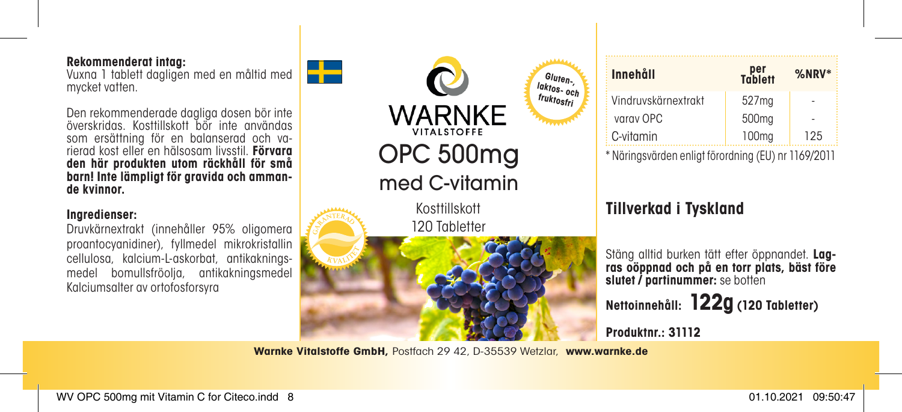#### Rekommenderat intag:

Vuxna 1 tablett dagligen med en måltid med mycket vatten.

Den rekommenderade dagliga dosen bör inte överskridas. Kosttillskott bör inte användas som ersättning för en balanserad och va rierad kost eller en hälsosam livsstil. Förvara den här produkten utom räckhåll för små barn! Inte lämpligt för gravida och ammande kvinnor.

### Ingredienser:

Druvkärnextrakt (innehåller 95% oligomera proantocyanidiner), fyllmedel mikrokristallin cellulosa, kalcium-L-askorbat, antikakningsmedel bomullsfröolja, antikakningsmedel Kalciumsalter av ortofosforsyra



| Innehåll            | per<br>Tablett    | $%$ NRV* |
|---------------------|-------------------|----------|
| Vindruvskärnextrakt | 527mg             |          |
| varay OPC           | 500 <sub>ma</sub> |          |
| C-vitamin           | 100 <sub>mg</sub> | 125      |

\* Näringsvärden enligt förordning (EU) nr 1169/2011

Tillverkad i Tyskland

Stäng alltid burken tätt efter öppnandet. Lag- ras oöppnad och på en torr plats, bäst före slutet / partinummer: se botten

Nettoinnehåll: 122g (120 Tabletter)

Produktnr.: 31112